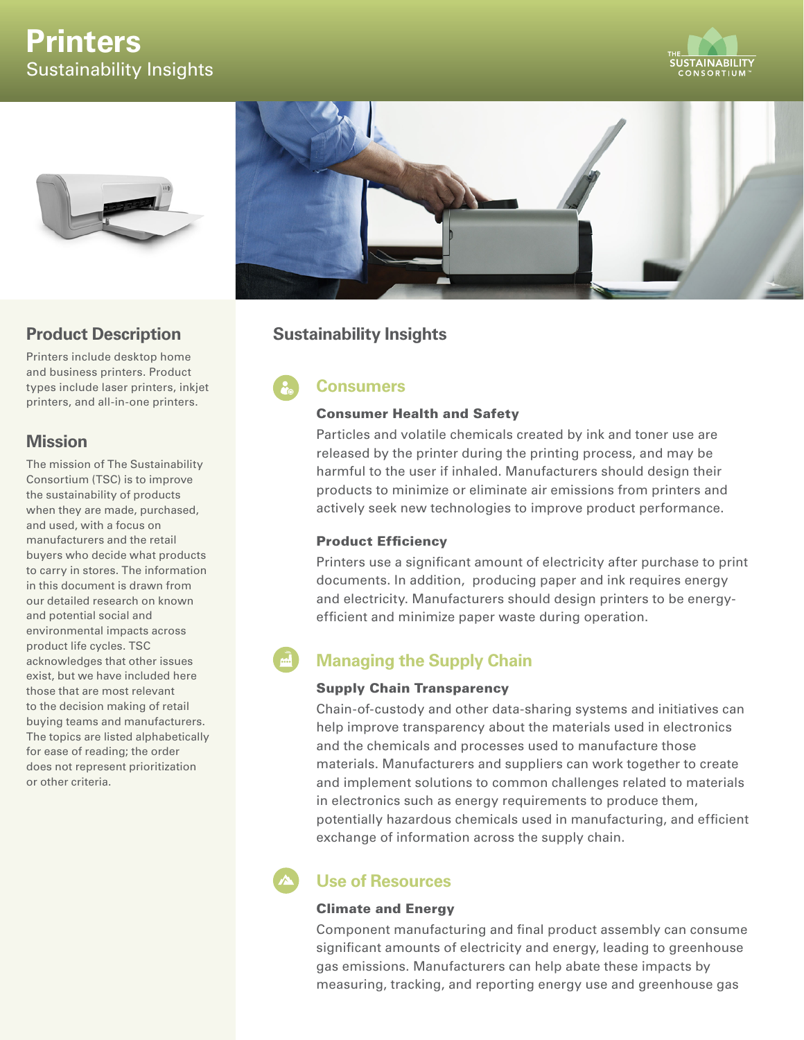# **Printers** Sustainability Insights







### **Product Description**

Printers include desktop home and business printers. Product types include laser printers, inkjet printers, and all-in-one printers.

### **Mission**

The mission of The Sustainability Consortium (TSC) is to improve the sustainability of products when they are made, purchased, and used, with a focus on manufacturers and the retail buyers who decide what products to carry in stores. The information in this document is drawn from our detailed research on known and potential social and environmental impacts across product life cycles. TSC acknowledges that other issues exist, but we have included here those that are most relevant to the decision making of retail buying teams and manufacturers. The topics are listed alphabetically for ease of reading; the order does not represent prioritization or other criteria.

## **Sustainability Insights**

## **Consumers**

#### Consumer Health and Safety

Particles and volatile chemicals created by ink and toner use are released by the printer during the printing process, and may be harmful to the user if inhaled. Manufacturers should design their products to minimize or eliminate air emissions from printers and actively seek new technologies to improve product performance.

#### Product Efficiency

Printers use a significant amount of electricity after purchase to print documents. In addition, producing paper and ink requires energy and electricity. Manufacturers should design printers to be energyefficient and minimize paper waste during operation.

## **Managing the Supply Chain**

#### Supply Chain Transparency

Chain-of-custody and other data-sharing systems and initiatives can help improve transparency about the materials used in electronics and the chemicals and processes used to manufacture those materials. Manufacturers and suppliers can work together to create and implement solutions to common challenges related to materials in electronics such as energy requirements to produce them, potentially hazardous chemicals used in manufacturing, and efficient exchange of information across the supply chain.

## **Use of Resources**

#### Climate and Energy

Component manufacturing and final product assembly can consume significant amounts of electricity and energy, leading to greenhouse gas emissions. Manufacturers can help abate these impacts by measuring, tracking, and reporting energy use and greenhouse gas